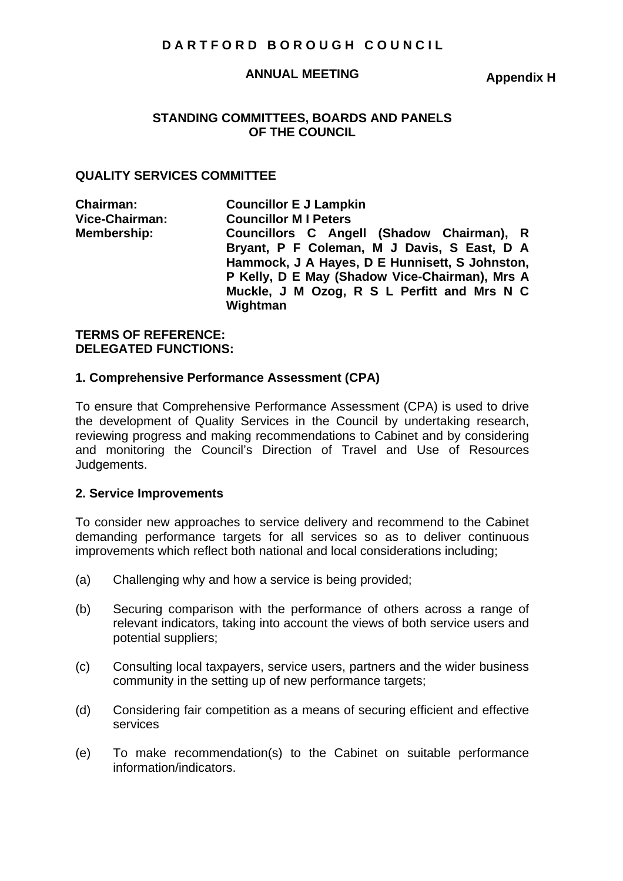# **DARTFORD BOROUGH COUNCIL**

#### **ANNUAL MEETING**

**Appendix H** 

### **STANDING COMMITTEES, BOARDS AND PANELS OF THE COUNCIL**

### **QUALITY SERVICES COMMITTEE**

| <b>Chairman:</b>   | <b>Councillor E J Lampkin</b>                           |
|--------------------|---------------------------------------------------------|
| Vice-Chairman:     | <b>Councillor MI Peters</b>                             |
| <b>Membership:</b> | Councillors C Angell (Shadow Chairman), R               |
|                    | Bryant, P F Coleman, M J Davis, S East, D A             |
|                    | Hammock, J A Hayes, D E Hunnisett, S Johnston,          |
|                    | P Kelly, D E May (Shadow Vice-Chairman), Mrs A          |
|                    | Muckle, J M Ozog, R S L Perfitt and Mrs N C<br>Wightman |

#### **TERMS OF REFERENCE: DELEGATED FUNCTIONS:**

#### **1. Comprehensive Performance Assessment (CPA)**

To ensure that Comprehensive Performance Assessment (CPA) is used to drive the development of Quality Services in the Council by undertaking research, reviewing progress and making recommendations to Cabinet and by considering and monitoring the Council's Direction of Travel and Use of Resources Judgements.

### **2. Service Improvements**

To consider new approaches to service delivery and recommend to the Cabinet demanding performance targets for all services so as to deliver continuous improvements which reflect both national and local considerations including;

- (a) Challenging why and how a service is being provided;
- (b) Securing comparison with the performance of others across a range of relevant indicators, taking into account the views of both service users and potential suppliers;
- (c) Consulting local taxpayers, service users, partners and the wider business community in the setting up of new performance targets;
- (d) Considering fair competition as a means of securing efficient and effective services
- (e) To make recommendation(s) to the Cabinet on suitable performance information/indicators.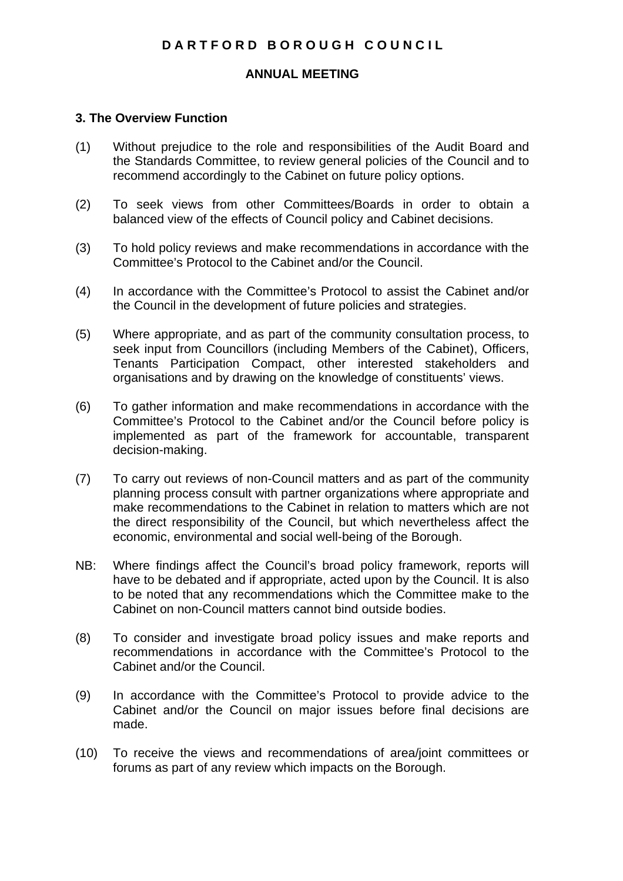# **DARTFORD BOROUGH COUNCIL**

### **ANNUAL MEETING**

### **3. The Overview Function**

- (1) Without prejudice to the role and responsibilities of the Audit Board and the Standards Committee, to review general policies of the Council and to recommend accordingly to the Cabinet on future policy options.
- (2) To seek views from other Committees/Boards in order to obtain a balanced view of the effects of Council policy and Cabinet decisions.
- (3) To hold policy reviews and make recommendations in accordance with the Committee's Protocol to the Cabinet and/or the Council.
- (4) In accordance with the Committee's Protocol to assist the Cabinet and/or the Council in the development of future policies and strategies.
- (5) Where appropriate, and as part of the community consultation process, to seek input from Councillors (including Members of the Cabinet), Officers, Tenants Participation Compact, other interested stakeholders and organisations and by drawing on the knowledge of constituents' views.
- (6) To gather information and make recommendations in accordance with the Committee's Protocol to the Cabinet and/or the Council before policy is implemented as part of the framework for accountable, transparent decision-making.
- (7) To carry out reviews of non-Council matters and as part of the community planning process consult with partner organizations where appropriate and make recommendations to the Cabinet in relation to matters which are not the direct responsibility of the Council, but which nevertheless affect the economic, environmental and social well-being of the Borough.
- NB: Where findings affect the Council's broad policy framework, reports will have to be debated and if appropriate, acted upon by the Council. It is also to be noted that any recommendations which the Committee make to the Cabinet on non-Council matters cannot bind outside bodies.
- (8) To consider and investigate broad policy issues and make reports and recommendations in accordance with the Committee's Protocol to the Cabinet and/or the Council.
- (9) In accordance with the Committee's Protocol to provide advice to the Cabinet and/or the Council on major issues before final decisions are made.
- (10) To receive the views and recommendations of area/joint committees or forums as part of any review which impacts on the Borough.